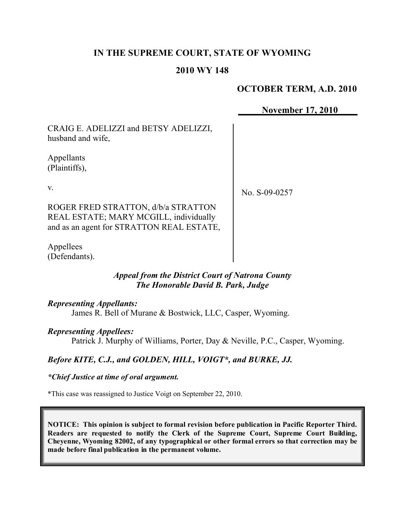## **IN THE SUPREME COURT, STATE OF WYOMING**

### **2010 WY 148**

## **OCTOBER TERM, A.D. 2010**

## **November 17, 2010**

CRAIG E. ADELIZZI and BETSY ADELIZZI, husband and wife,

Appellants (Plaintiffs),

v.

No. S-09-0257

ROGER FRED STRATTON, d/b/a STRATTON REAL ESTATE; MARY MCGILL, individually and as an agent for STRATTON REAL ESTATE,

Appellees (Defendants).

## *Appeal from the District Court of Natrona County The Honorable David B. Park, Judge*

*Representing Appellants:*

James R. Bell of Murane & Bostwick, LLC, Casper, Wyoming.

#### *Representing Appellees:*

Patrick J. Murphy of Williams, Porter, Day & Neville, P.C., Casper, Wyoming.

#### *Before KITE, C.J., and GOLDEN, HILL, VOIGT\*, and BURKE, JJ.*

*\*Chief Justice at time of oral argument.*

\*This case was reassigned to Justice Voigt on September 22, 2010.

**NOTICE: This opinion is subject to formal revision before publication in Pacific Reporter Third. Readers are requested to notify the Clerk of the Supreme Court, Supreme Court Building, Cheyenne, Wyoming 82002, of any typographical or other formal errors so that correction may be made before final publication in the permanent volume.**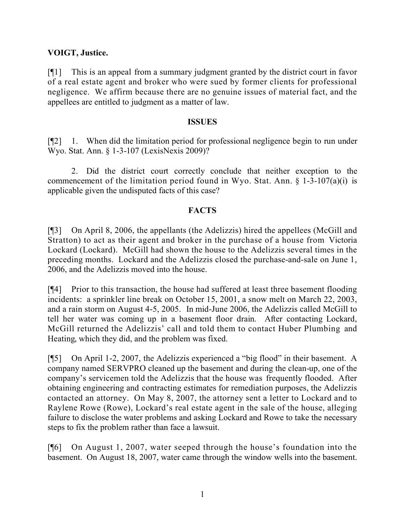## **VOIGT, Justice.**

[¶1] This is an appeal from a summary judgment granted by the district court in favor of a real estate agent and broker who were sued by former clients for professional negligence. We affirm because there are no genuine issues of material fact, and the appellees are entitled to judgment as a matter of law.

#### **ISSUES**

[¶2] 1. When did the limitation period for professional negligence begin to run under Wyo. Stat. Ann. § 1-3-107 (LexisNexis 2009)?

2. Did the district court correctly conclude that neither exception to the commencement of the limitation period found in Wyo. Stat. Ann.  $\S$  1-3-107(a)(i) is applicable given the undisputed facts of this case?

## **FACTS**

[¶3] On April 8, 2006, the appellants (the Adelizzis) hired the appellees (McGill and Stratton) to act as their agent and broker in the purchase of a house from Victoria Lockard (Lockard). McGill had shown the house to the Adelizzis several times in the preceding months. Lockard and the Adelizzis closed the purchase-and-sale on June 1, 2006, and the Adelizzis moved into the house.

[¶4] Prior to this transaction, the house had suffered at least three basement flooding incidents: a sprinkler line break on October 15, 2001, a snow melt on March 22, 2003, and a rain storm on August 4-5, 2005. In mid-June 2006, the Adelizzis called McGill to tell her water was coming up in a basement floor drain. After contacting Lockard, McGill returned the Adelizzis' call and told them to contact Huber Plumbing and Heating, which they did, and the problem was fixed.

[¶5] On April 1-2, 2007, the Adelizzis experienced a "big flood" in their basement. A company named SERVPRO cleaned up the basement and during the clean-up, one of the company's servicemen told the Adelizzis that the house was frequently flooded. After obtaining engineering and contracting estimates for remediation purposes, the Adelizzis contacted an attorney. On May 8, 2007, the attorney sent a letter to Lockard and to Raylene Rowe (Rowe), Lockard's real estate agent in the sale of the house, alleging failure to disclose the water problems and asking Lockard and Rowe to take the necessary steps to fix the problem rather than face a lawsuit.

[¶6] On August 1, 2007, water seeped through the house's foundation into the basement. On August 18, 2007, water came through the window wells into the basement.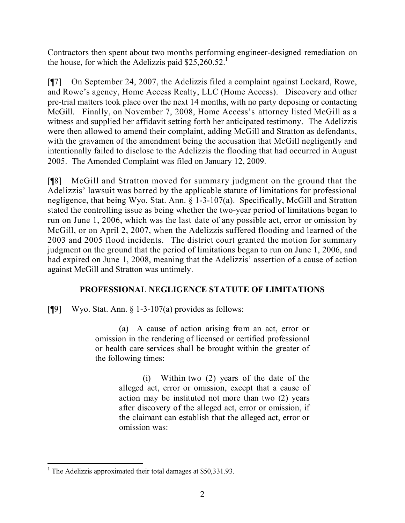Contractors then spent about two months performing engineer-designed remediation on the house, for which the Adelizzis paid  $$25,260.52$ <sup>1</sup>

[¶7] On September 24, 2007, the Adelizzis filed a complaint against Lockard, Rowe, and Rowe's agency, Home Access Realty, LLC (Home Access). Discovery and other pre-trial matters took place over the next 14 months, with no party deposing or contacting McGill. Finally, on November 7, 2008, Home Access's attorney listed McGill as a witness and supplied her affidavit setting forth her anticipated testimony. The Adelizzis were then allowed to amend their complaint, adding McGill and Stratton as defendants, with the gravamen of the amendment being the accusation that McGill negligently and intentionally failed to disclose to the Adelizzis the flooding that had occurred in August 2005. The Amended Complaint was filed on January 12, 2009.

[¶8] McGill and Stratton moved for summary judgment on the ground that the Adelizzis' lawsuit was barred by the applicable statute of limitations for professional negligence, that being Wyo. Stat. Ann. § 1-3-107(a). Specifically, McGill and Stratton stated the controlling issue as being whether the two-year period of limitations began to run on June 1, 2006, which was the last date of any possible act, error or omission by McGill, or on April 2, 2007, when the Adelizzis suffered flooding and learned of the 2003 and 2005 flood incidents. The district court granted the motion for summary judgment on the ground that the period of limitations began to run on June 1, 2006, and had expired on June 1, 2008, meaning that the Adelizzis' assertion of a cause of action against McGill and Stratton was untimely.

# **PROFESSIONAL NEGLIGENCE STATUTE OF LIMITATIONS**

[ $[$ 9] Wyo. Stat. Ann.  $\frac{1}{2}$  1-3-107(a) provides as follows:

(a) A cause of action arising from an act, error or omission in the rendering of licensed or certified professional or health care services shall be brought within the greater of the following times:

> (i) Within two (2) years of the date of the alleged act, error or omission, except that a cause of action may be instituted not more than two (2) years after discovery of the alleged act, error or omission, if the claimant can establish that the alleged act, error or omission was:

 <sup>1</sup> The Adelizzis approximated their total damages at \$50,331.93.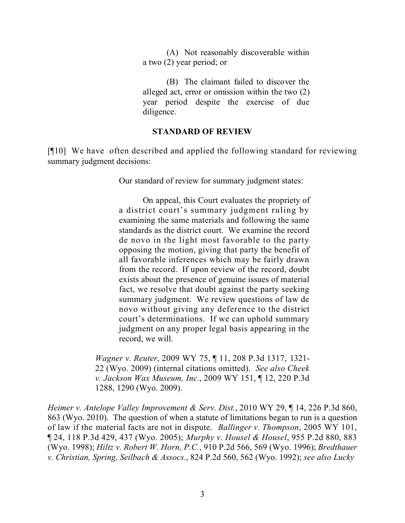(A) Not reasonably discoverable within a two (2) year period; or

(B) The claimant failed to discover the alleged act, error or omission within the two (2) year period despite the exercise of due diligence.

## **STANDARD OF REVIEW**

[¶10] We have often described and applied the following standard for reviewing summary judgment decisions:

Our standard of review for summary judgment states:

On appeal, this Court evaluates the propriety of a district court's summary judgment ruling by examining the same materials and following the same standards as the district court. We examine the record de novo in the light most favorable to the party opposing the motion, giving that party the benefit of all favorable inferences which may be fairly drawn from the record. If upon review of the record, doubt exists about the presence of genuine issues of material fact, we resolve that doubt against the party seeking summary judgment. We review questions of law de novo without giving any deference to the district court's determinations. If we can uphold summary judgment on any proper legal basis appearing in the record, we will.

*Wagner v. Reuter*, 2009 WY 75, ¶ 11, 208 P.3d 1317, 1321- 22 (Wyo. 2009) (internal citations omitted). *See also Cheek v. Jackson Wax Museum, Inc.*, 2009 WY 151, ¶ 12, 220 P.3d 1288, 1290 (Wyo. 2009).

*Heimer v. Antelope Valley Improvement & Serv. Dist.*, 2010 WY 29, ¶ 14, 226 P.3d 860, 863 (Wyo. 2010). The question of when a statute of limitations began to run is a question of law if the material facts are not in dispute. *Ballinger v. Thompson*, 2005 WY 101, ¶ 24, 118 P.3d 429, 437 (Wyo. 2005); *Murphy v. Housel & Housel*, 955 P.2d 880, 883 (Wyo. 1998); *Hiltz v. Robert W. Horn, P.C.*, 910 P.2d 566, 569 (Wyo. 1996); *Bredthauer v. Christian, Spring, Seilbach & Assocs.*, 824 P.2d 560, 562 (Wyo. 1992); *see also Lucky*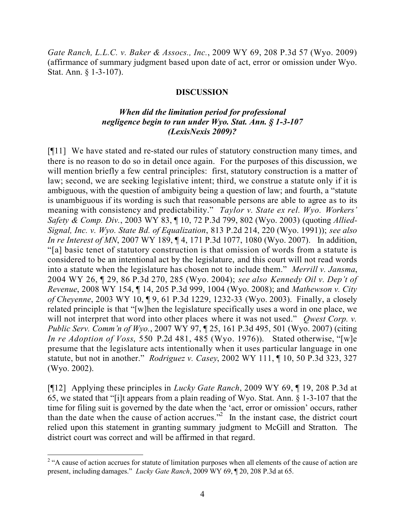*Gate Ranch, L.L.C. v. Baker & Assocs., Inc.*, 2009 WY 69, 208 P.3d 57 (Wyo. 2009) (affirmance of summary judgment based upon date of act, error or omission under Wyo. Stat. Ann. § 1-3-107).

#### **DISCUSSION**

## *When did the limitation period for professional negligence begin to run under Wyo. Stat. Ann. § 1-3-107 (LexisNexis 2009)?*

[¶11] We have stated and re-stated our rules of statutory construction many times, and there is no reason to do so in detail once again. For the purposes of this discussion, we will mention briefly a few central principles: first, statutory construction is a matter of law; second, we are seeking legislative intent; third, we construe a statute only if it is ambiguous, with the question of ambiguity being a question of law; and fourth, a "statute is unambiguous if its wording is such that reasonable persons are able to agree as to its meaning with consistency and predictability." *Taylor v. State ex rel. Wyo. Workers' Safety & Comp. Div.*, 2003 WY 83, ¶ 10, 72 P.3d 799, 802 (Wyo. 2003) (quoting *Allied-Signal, Inc. v. Wyo. State Bd. of Equalization*, 813 P.2d 214, 220 (Wyo. 1991)); *see also In re Interest of MN*, 2007 WY 189, ¶ 4, 171 P.3d 1077, 1080 (Wyo. 2007). In addition, "[a] basic tenet of statutory construction is that omission of words from a statute is considered to be an intentional act by the legislature, and this court will not read words into a statute when the legislature has chosen not to include them." *Merrill v. Jansma*, 2004 WY 26, ¶ 29, 86 P.3d 270, 285 (Wyo. 2004); *see also Kennedy Oil v. Dep't of Revenue*, 2008 WY 154, ¶ 14, 205 P.3d 999, 1004 (Wyo. 2008); and *Mathewson v. City of Cheyenne*, 2003 WY 10, ¶ 9, 61 P.3d 1229, 1232-33 (Wyo. 2003). Finally, a closely related principle is that "[w]hen the legislature specifically uses a word in one place, we will not interpret that word into other places where it was not used." *Owest Corp. v. Public Serv. Comm'n of Wyo.*, 2007 WY 97, ¶ 25, 161 P.3d 495, 501 (Wyo. 2007) (citing *In re Adoption of Voss*, 550 P.2d 481, 485 (Wyo. 1976)). Stated otherwise, "[w]e presume that the legislature acts intentionally when it uses particular language in one statute, but not in another." *Rodriguez v. Casey*, 2002 WY 111, ¶ 10, 50 P.3d 323, 327 (Wyo. 2002).

[¶12] Applying these principles in *Lucky Gate Ranch*, 2009 WY 69, ¶ 19, 208 P.3d at 65, we stated that "[i]t appears from a plain reading of Wyo. Stat. Ann. § 1-3-107 that the time for filing suit is governed by the date when the 'act, error or omission' occurs, rather than the date when the cause of action accrues."<sup>2</sup> In the instant case, the district court relied upon this statement in granting summary judgment to McGill and Stratton. The district court was correct and will be affirmed in that regard.

<sup>&</sup>lt;sup>2</sup> "A cause of action accrues for statute of limitation purposes when all elements of the cause of action are present, including damages." *Lucky Gate Ranch*, 2009 WY 69, ¶ 20, 208 P.3d at 65.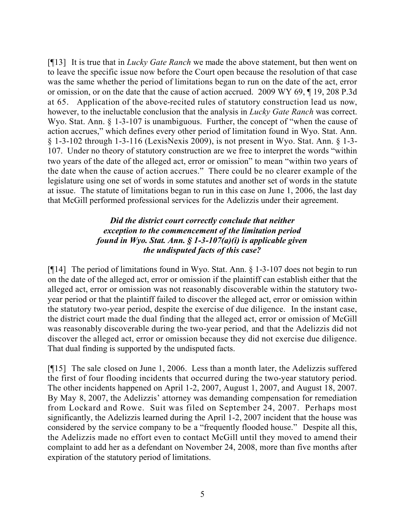[¶13] It is true that in *Lucky Gate Ranch* we made the above statement, but then went on to leave the specific issue now before the Court open because the resolution of that case was the same whether the period of limitations began to run on the date of the act, error or omission, or on the date that the cause of action accrued. 2009 WY 69, ¶ 19, 208 P.3d at 65. Application of the above-recited rules of statutory construction lead us now, however, to the ineluctable conclusion that the analysis in *Lucky Gate Ranch* was correct. Wyo. Stat. Ann. § 1-3-107 is unambiguous. Further, the concept of "when the cause of action accrues," which defines every other period of limitation found in Wyo. Stat. Ann. § 1-3-102 through 1-3-116 (LexisNexis 2009), is not present in Wyo. Stat. Ann. § 1-3- 107. Under no theory of statutory construction are we free to interpret the words "within two years of the date of the alleged act, error or omission" to mean "within two years of the date when the cause of action accrues." There could be no clearer example of the legislature using one set of words in some statutes and another set of words in the statute at issue. The statute of limitations began to run in this case on June 1, 2006, the last day that McGill performed professional services for the Adelizzis under their agreement.

## *Did the district court correctly conclude that neither exception to the commencement of the limitation period found in Wyo. Stat. Ann. § 1-3-107(a)(i) is applicable given the undisputed facts of this case?*

[¶14] The period of limitations found in Wyo. Stat. Ann. § 1-3-107 does not begin to run on the date of the alleged act, error or omission if the plaintiff can establish either that the alleged act, error or omission was not reasonably discoverable within the statutory twoyear period or that the plaintiff failed to discover the alleged act, error or omission within the statutory two-year period, despite the exercise of due diligence. In the instant case, the district court made the dual finding that the alleged act, error or omission of McGill was reasonably discoverable during the two-year period, and that the Adelizzis did not discover the alleged act, error or omission because they did not exercise due diligence. That dual finding is supported by the undisputed facts.

[¶15] The sale closed on June 1, 2006. Less than a month later, the Adelizzis suffered the first of four flooding incidents that occurred during the two-year statutory period. The other incidents happened on April 1-2, 2007, August 1, 2007, and August 18, 2007. By May 8, 2007, the Adelizzis' attorney was demanding compensation for remediation from Lockard and Rowe. Suit was filed on September 24, 2007. Perhaps most significantly, the Adelizzis learned during the April 1-2, 2007 incident that the house was considered by the service company to be a "frequently flooded house." Despite all this, the Adelizzis made no effort even to contact McGill until they moved to amend their complaint to add her as a defendant on November 24, 2008, more than five months after expiration of the statutory period of limitations.